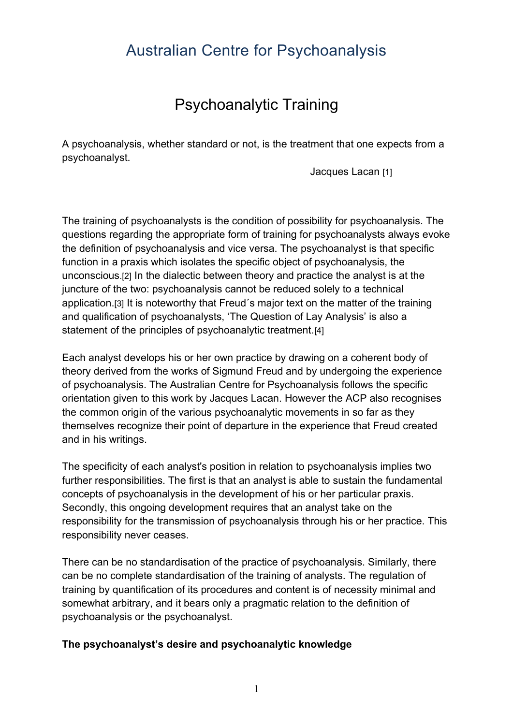# Australian Centre for Psychoanalysis

# Psychoanalytic Training

A psychoanalysis, whether standard or not, is the treatment that one expects from a psychoanalyst.

Jacques Lacan [1]

The training of psychoanalysts is the condition of possibility for psychoanalysis. The questions regarding the appropriate form of training for psychoanalysts always evoke the definition of psychoanalysis and vice versa. The psychoanalyst is that specific function in a praxis which isolates the specific object of psychoanalysis, the unconscious.[2] In the dialectic between theory and practice the analyst is at the juncture of the two: psychoanalysis cannot be reduced solely to a technical application.[3] It is noteworthy that Freud´s major text on the matter of the training and qualification of psychoanalysts, 'The Question of Lay Analysis' is also a statement of the principles of psychoanalytic treatment.[4]

Each analyst develops his or her own practice by drawing on a coherent body of theory derived from the works of Sigmund Freud and by undergoing the experience of psychoanalysis. The Australian Centre for Psychoanalysis follows the specific orientation given to this work by Jacques Lacan. However the ACP also recognises the common origin of the various psychoanalytic movements in so far as they themselves recognize their point of departure in the experience that Freud created and in his writings.

The specificity of each analyst's position in relation to psychoanalysis implies two further responsibilities. The first is that an analyst is able to sustain the fundamental concepts of psychoanalysis in the development of his or her particular praxis. Secondly, this ongoing development requires that an analyst take on the responsibility for the transmission of psychoanalysis through his or her practice. This responsibility never ceases.

There can be no standardisation of the practice of psychoanalysis. Similarly, there can be no complete standardisation of the training of analysts. The regulation of training by quantification of its procedures and content is of necessity minimal and somewhat arbitrary, and it bears only a pragmatic relation to the definition of psychoanalysis or the psychoanalyst.

### **The psychoanalyst's desire and psychoanalytic knowledge**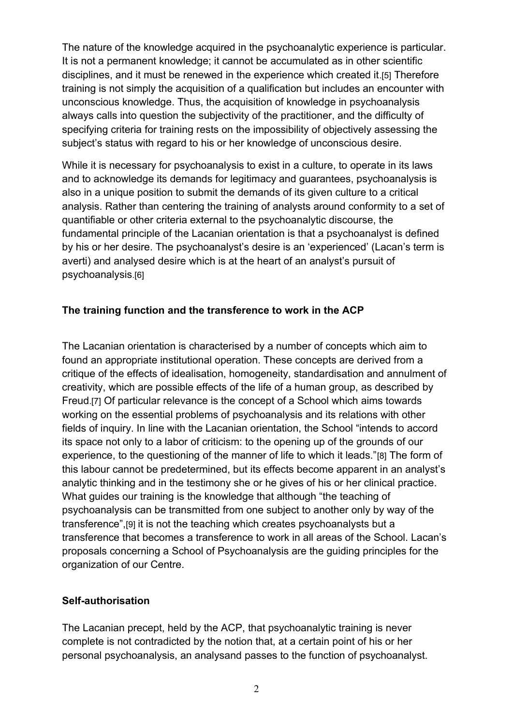The nature of the knowledge acquired in the psychoanalytic experience is particular. It is not a permanent knowledge; it cannot be accumulated as in other scientific disciplines, and it must be renewed in the experience which created it.[5] Therefore training is not simply the acquisition of a qualification but includes an encounter with unconscious knowledge. Thus, the acquisition of knowledge in psychoanalysis always calls into question the subjectivity of the practitioner, and the difficulty of specifying criteria for training rests on the impossibility of objectively assessing the subject's status with regard to his or her knowledge of unconscious desire.

While it is necessary for psychoanalysis to exist in a culture, to operate in its laws and to acknowledge its demands for legitimacy and guarantees, psychoanalysis is also in a unique position to submit the demands of its given culture to a critical analysis. Rather than centering the training of analysts around conformity to a set of quantifiable or other criteria external to the psychoanalytic discourse, the fundamental principle of the Lacanian orientation is that a psychoanalyst is defined by his or her desire. The psychoanalyst's desire is an 'experienced' (Lacan's term is averti) and analysed desire which is at the heart of an analyst's pursuit of psychoanalysis.[6]

## **The training function and the transference to work in the ACP**

The Lacanian orientation is characterised by a number of concepts which aim to found an appropriate institutional operation. These concepts are derived from a critique of the effects of idealisation, homogeneity, standardisation and annulment of creativity, which are possible effects of the life of a human group, as described by Freud.[7] Of particular relevance is the concept of a School which aims towards working on the essential problems of psychoanalysis and its relations with other fields of inquiry. In line with the Lacanian orientation, the School "intends to accord its space not only to a labor of criticism: to the opening up of the grounds of our experience, to the questioning of the manner of life to which it leads."[8] The form of this labour cannot be predetermined, but its effects become apparent in an analyst's analytic thinking and in the testimony she or he gives of his or her clinical practice. What guides our training is the knowledge that although "the teaching of psychoanalysis can be transmitted from one subject to another only by way of the transference",[9] it is not the teaching which creates psychoanalysts but a transference that becomes a transference to work in all areas of the School. Lacan's proposals concerning a School of Psychoanalysis are the guiding principles for the organization of our Centre.

### **Self-authorisation**

The Lacanian precept, held by the ACP, that psychoanalytic training is never complete is not contradicted by the notion that, at a certain point of his or her personal psychoanalysis, an analysand passes to the function of psychoanalyst.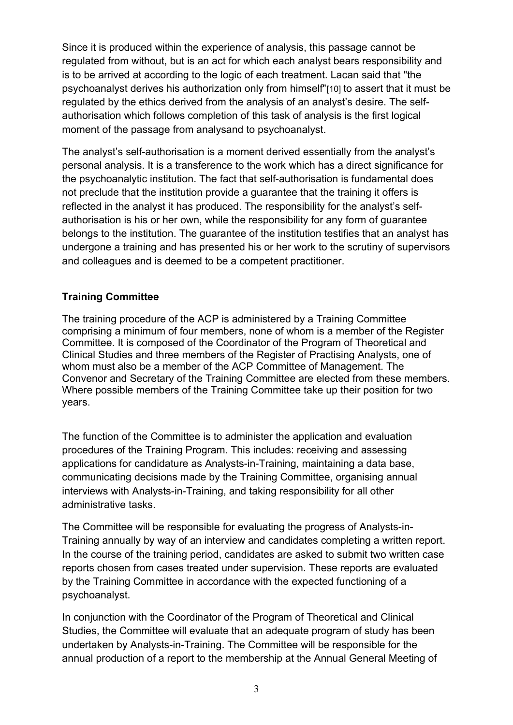Since it is produced within the experience of analysis, this passage cannot be regulated from without, but is an act for which each analyst bears responsibility and is to be arrived at according to the logic of each treatment. Lacan said that "the psychoanalyst derives his authorization only from himself"[10] to assert that it must be regulated by the ethics derived from the analysis of an analyst's desire. The selfauthorisation which follows completion of this task of analysis is the first logical moment of the passage from analysand to psychoanalyst.

The analyst's self-authorisation is a moment derived essentially from the analyst's personal analysis. It is a transference to the work which has a direct significance for the psychoanalytic institution. The fact that self-authorisation is fundamental does not preclude that the institution provide a guarantee that the training it offers is reflected in the analyst it has produced. The responsibility for the analyst's selfauthorisation is his or her own, while the responsibility for any form of guarantee belongs to the institution. The guarantee of the institution testifies that an analyst has undergone a training and has presented his or her work to the scrutiny of supervisors and colleagues and is deemed to be a competent practitioner.

## **Training Committee**

The training procedure of the ACP is administered by a Training Committee comprising a minimum of four members, none of whom is a member of the Register Committee. It is composed of the Coordinator of the Program of Theoretical and Clinical Studies and three members of the Register of Practising Analysts, one of whom must also be a member of the ACP Committee of Management. The Convenor and Secretary of the Training Committee are elected from these members. Where possible members of the Training Committee take up their position for two years.

The function of the Committee is to administer the application and evaluation procedures of the Training Program. This includes: receiving and assessing applications for candidature as Analysts-in-Training, maintaining a data base, communicating decisions made by the Training Committee, organising annual interviews with Analysts-in-Training, and taking responsibility for all other administrative tasks.

The Committee will be responsible for evaluating the progress of Analysts-in-Training annually by way of an interview and candidates completing a written report. In the course of the training period, candidates are asked to submit two written case reports chosen from cases treated under supervision. These reports are evaluated by the Training Committee in accordance with the expected functioning of a psychoanalyst.

In conjunction with the Coordinator of the Program of Theoretical and Clinical Studies, the Committee will evaluate that an adequate program of study has been undertaken by Analysts-in-Training. The Committee will be responsible for the annual production of a report to the membership at the Annual General Meeting of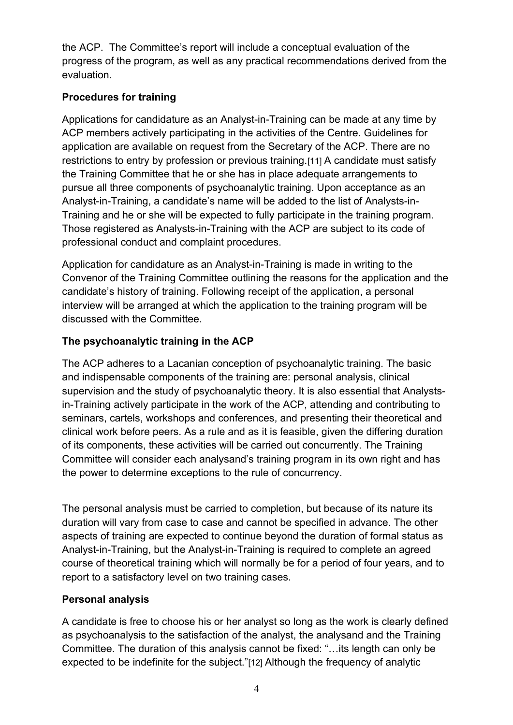the ACP. The Committee's report will include a conceptual evaluation of the progress of the program, as well as any practical recommendations derived from the evaluation.

# **Procedures for training**

Applications for candidature as an Analyst-in-Training can be made at any time by ACP members actively participating in the activities of the Centre. Guidelines for application are available on request from the Secretary of the ACP. There are no restrictions to entry by profession or previous training.[11] A candidate must satisfy the Training Committee that he or she has in place adequate arrangements to pursue all three components of psychoanalytic training. Upon acceptance as an Analyst-in-Training, a candidate's name will be added to the list of Analysts-in-Training and he or she will be expected to fully participate in the training program. Those registered as Analysts-in-Training with the ACP are subject to its code of professional conduct and complaint procedures.

Application for candidature as an Analyst-in-Training is made in writing to the Convenor of the Training Committee outlining the reasons for the application and the candidate's history of training. Following receipt of the application, a personal interview will be arranged at which the application to the training program will be discussed with the Committee.

# **The psychoanalytic training in the ACP**

The ACP adheres to a Lacanian conception of psychoanalytic training. The basic and indispensable components of the training are: personal analysis, clinical supervision and the study of psychoanalytic theory. It is also essential that Analystsin-Training actively participate in the work of the ACP, attending and contributing to seminars, cartels, workshops and conferences, and presenting their theoretical and clinical work before peers. As a rule and as it is feasible, given the differing duration of its components, these activities will be carried out concurrently. The Training Committee will consider each analysand's training program in its own right and has the power to determine exceptions to the rule of concurrency.

The personal analysis must be carried to completion, but because of its nature its duration will vary from case to case and cannot be specified in advance. The other aspects of training are expected to continue beyond the duration of formal status as Analyst-in-Training, but the Analyst-in-Training is required to complete an agreed course of theoretical training which will normally be for a period of four years, and to report to a satisfactory level on two training cases.

## **Personal analysis**

A candidate is free to choose his or her analyst so long as the work is clearly defined as psychoanalysis to the satisfaction of the analyst, the analysand and the Training Committee. The duration of this analysis cannot be fixed: "…its length can only be expected to be indefinite for the subject."[12] Although the frequency of analytic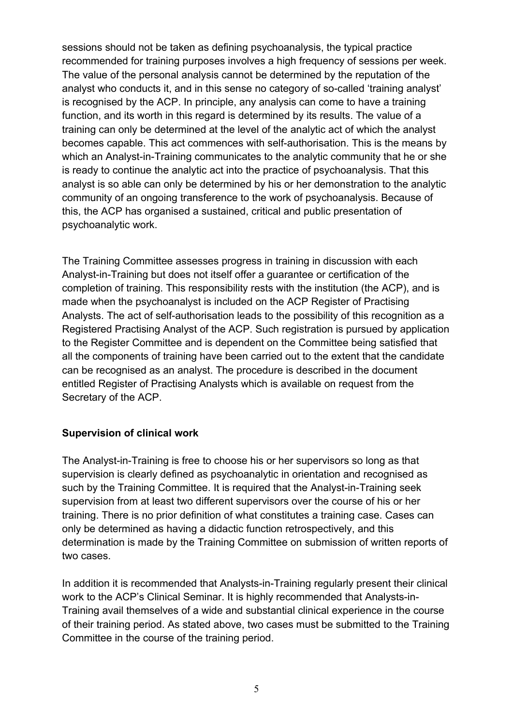sessions should not be taken as defining psychoanalysis, the typical practice recommended for training purposes involves a high frequency of sessions per week. The value of the personal analysis cannot be determined by the reputation of the analyst who conducts it, and in this sense no category of so-called 'training analyst' is recognised by the ACP. In principle, any analysis can come to have a training function, and its worth in this regard is determined by its results. The value of a training can only be determined at the level of the analytic act of which the analyst becomes capable. This act commences with self-authorisation. This is the means by which an Analyst-in-Training communicates to the analytic community that he or she is ready to continue the analytic act into the practice of psychoanalysis. That this analyst is so able can only be determined by his or her demonstration to the analytic community of an ongoing transference to the work of psychoanalysis. Because of this, the ACP has organised a sustained, critical and public presentation of psychoanalytic work.

The Training Committee assesses progress in training in discussion with each Analyst-in-Training but does not itself offer a guarantee or certification of the completion of training. This responsibility rests with the institution (the ACP), and is made when the psychoanalyst is included on the ACP Register of Practising Analysts. The act of self-authorisation leads to the possibility of this recognition as a Registered Practising Analyst of the ACP. Such registration is pursued by application to the Register Committee and is dependent on the Committee being satisfied that all the components of training have been carried out to the extent that the candidate can be recognised as an analyst. The procedure is described in the document entitled Register of Practising Analysts which is available on request from the Secretary of the ACP.

### **Supervision of clinical work**

The Analyst-in-Training is free to choose his or her supervisors so long as that supervision is clearly defined as psychoanalytic in orientation and recognised as such by the Training Committee. It is required that the Analyst-in-Training seek supervision from at least two different supervisors over the course of his or her training. There is no prior definition of what constitutes a training case. Cases can only be determined as having a didactic function retrospectively, and this determination is made by the Training Committee on submission of written reports of two cases.

In addition it is recommended that Analysts-in-Training regularly present their clinical work to the ACP's Clinical Seminar. It is highly recommended that Analysts-in-Training avail themselves of a wide and substantial clinical experience in the course of their training period. As stated above, two cases must be submitted to the Training Committee in the course of the training period.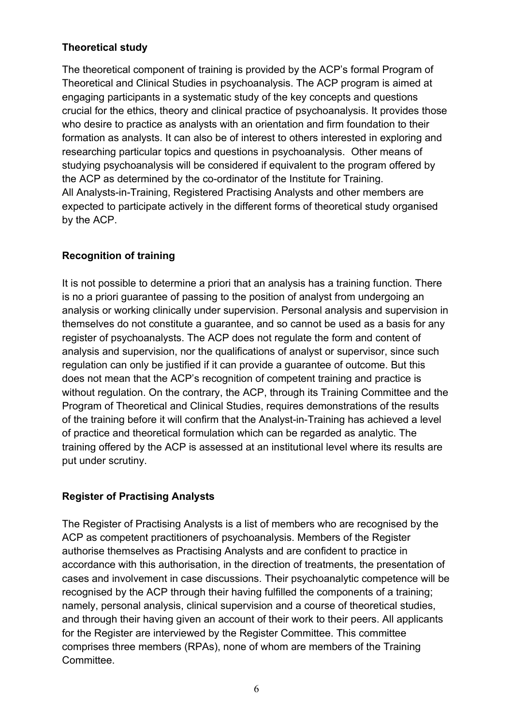## **Theoretical study**

The theoretical component of training is provided by the ACP's formal Program of Theoretical and Clinical Studies in psychoanalysis. The ACP program is aimed at engaging participants in a systematic study of the key concepts and questions crucial for the ethics, theory and clinical practice of psychoanalysis. It provides those who desire to practice as analysts with an orientation and firm foundation to their formation as analysts. It can also be of interest to others interested in exploring and researching particular topics and questions in psychoanalysis. Other means of studying psychoanalysis will be considered if equivalent to the program offered by the ACP as determined by the co-ordinator of the Institute for Training. All Analysts-in-Training, Registered Practising Analysts and other members are expected to participate actively in the different forms of theoretical study organised by the ACP.

## **Recognition of training**

It is not possible to determine a priori that an analysis has a training function. There is no a priori guarantee of passing to the position of analyst from undergoing an analysis or working clinically under supervision. Personal analysis and supervision in themselves do not constitute a guarantee, and so cannot be used as a basis for any register of psychoanalysts. The ACP does not regulate the form and content of analysis and supervision, nor the qualifications of analyst or supervisor, since such regulation can only be justified if it can provide a guarantee of outcome. But this does not mean that the ACP's recognition of competent training and practice is without regulation. On the contrary, the ACP, through its Training Committee and the Program of Theoretical and Clinical Studies, requires demonstrations of the results of the training before it will confirm that the Analyst-in-Training has achieved a level of practice and theoretical formulation which can be regarded as analytic. The training offered by the ACP is assessed at an institutional level where its results are put under scrutiny.

### **Register of Practising Analysts**

The Register of Practising Analysts is a list of members who are recognised by the ACP as competent practitioners of psychoanalysis. Members of the Register authorise themselves as Practising Analysts and are confident to practice in accordance with this authorisation, in the direction of treatments, the presentation of cases and involvement in case discussions. Their psychoanalytic competence will be recognised by the ACP through their having fulfilled the components of a training; namely, personal analysis, clinical supervision and a course of theoretical studies, and through their having given an account of their work to their peers. All applicants for the Register are interviewed by the Register Committee. This committee comprises three members (RPAs), none of whom are members of the Training Committee.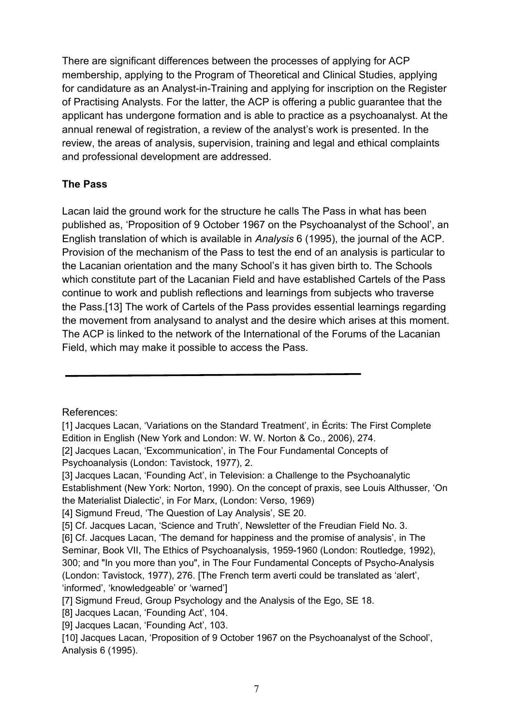There are significant differences between the processes of applying for ACP membership, applying to the Program of Theoretical and Clinical Studies, applying for candidature as an Analyst-in-Training and applying for inscription on the Register of Practising Analysts. For the latter, the ACP is offering a public guarantee that the applicant has undergone formation and is able to practice as a psychoanalyst. At the annual renewal of registration, a review of the analyst's work is presented. In the review, the areas of analysis, supervision, training and legal and ethical complaints and professional development are addressed.

## **The Pass**

Lacan laid the ground work for the structure he calls The Pass in what has been published as, 'Proposition of 9 October 1967 on the Psychoanalyst of the School', an English translation of which is available in *Analysis* 6 (1995), the journal of the ACP. Provision of the mechanism of the Pass to test the end of an analysis is particular to the Lacanian orientation and the many School's it has given birth to. The Schools which constitute part of the Lacanian Field and have established Cartels of the Pass continue to work and publish reflections and learnings from subjects who traverse the Pass.[13] The work of Cartels of the Pass provides essential learnings regarding the movement from analysand to analyst and the desire which arises at this moment. The ACP is linked to the network of the International of the Forums of the Lacanian Field, which may make it possible to access the Pass.

References:

<sup>[1]</sup> Jacques Lacan, 'Variations on the Standard Treatment', in Écrits: The First Complete Edition in English (New York and London: W. W. Norton & Co., 2006), 274.

<sup>[2]</sup> Jacques Lacan, 'Excommunication', in The Four Fundamental Concepts of Psychoanalysis (London: Tavistock, 1977), 2.

<sup>[3]</sup> Jacques Lacan, 'Founding Act', in Television: a Challenge to the Psychoanalytic Establishment (New York: Norton, 1990). On the concept of praxis, see Louis Althusser, 'On the Materialist Dialectic', in For Marx, (London: Verso, 1969)

<sup>[4]</sup> Sigmund Freud, 'The Question of Lay Analysis', SE 20.

<sup>[5]</sup> Cf. Jacques Lacan, 'Science and Truth', Newsletter of the Freudian Field No. 3.

<sup>[6]</sup> Cf. Jacques Lacan, 'The demand for happiness and the promise of analysis', in The Seminar, Book VII, The Ethics of Psychoanalysis, 1959-1960 (London: Routledge, 1992), 300; and "In you more than you", in The Four Fundamental Concepts of Psycho-Analysis (London: Tavistock, 1977), 276. [The French term averti could be translated as 'alert', 'informed', 'knowledgeable' or 'warned']

<sup>[7]</sup> Sigmund Freud, Group Psychology and the Analysis of the Ego, SE 18.

<sup>[8]</sup> Jacques Lacan, 'Founding Act', 104.

<sup>[9]</sup> Jacques Lacan, 'Founding Act', 103.

<sup>[10]</sup> Jacques Lacan, 'Proposition of 9 October 1967 on the Psychoanalyst of the School', Analysis 6 (1995).